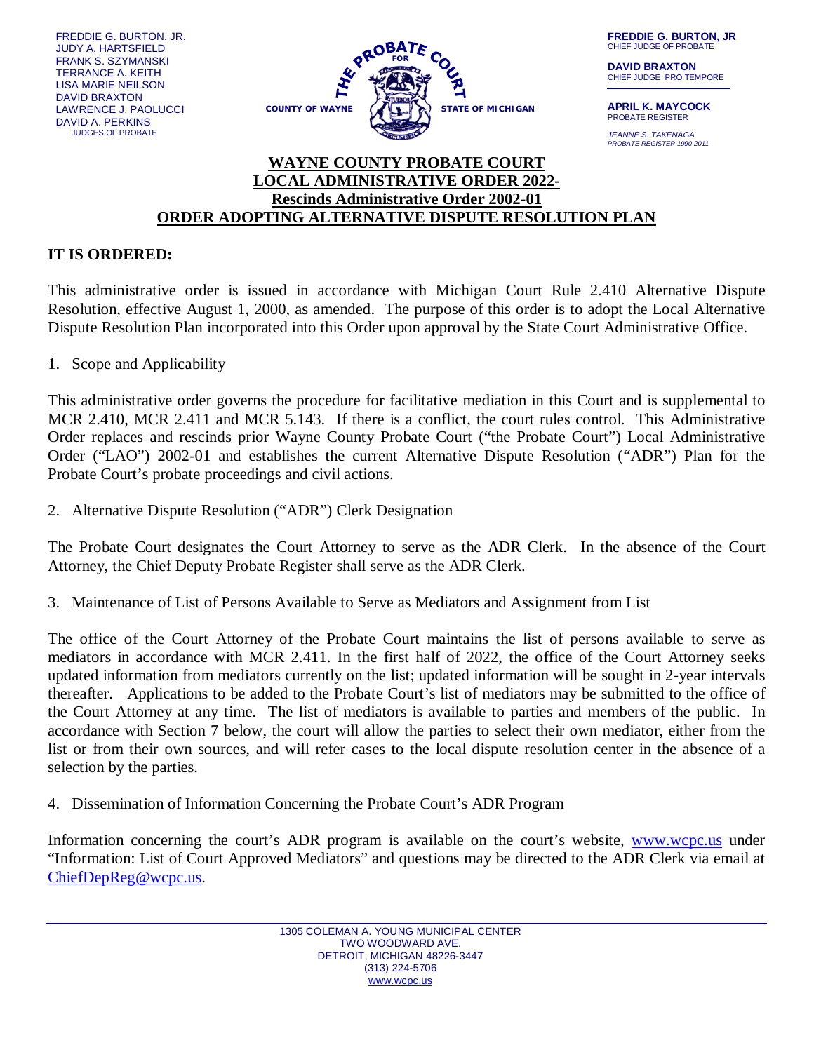FREDDIE G. BURTON, JR. JUDY A. HARTSFIELD FRANK S. SZYMANSKI TERRANCE A. KEITH LISA MARIE NEILSON DAVID BRAXTON LAWRENCE J. PAOLUCCI DAVID A. PERKINS JUDGES OF PROBATE



**FREDDIE G. BURTON, JR** CHIEF JUDGE OF PROBATE

**DAVID BRAXTON** CHIEF JUDGE PRO TEMPORE

**APRIL K. MAYCOCK** PROBATE REGISTER

*JEANNE S. TAKENAGA PROBATE REGISTER 1990-2011*

## **WAYNE COUNTY PROBATE COURT LOCAL ADMINISTRATIVE ORDER 2022- Rescinds Administrative Order 2002-01 ORDER ADOPTING ALTERNATIVE DISPUTE RESOLUTION PLAN**

## **IT IS ORDERED:**

This administrative order is issued in accordance with Michigan Court Rule 2.410 Alternative Dispute Resolution, effective August 1, 2000, as amended. The purpose of this order is to adopt the Local Alternative Dispute Resolution Plan incorporated into this Order upon approval by the State Court Administrative Office.

1. Scope and Applicability

This administrative order governs the procedure for facilitative mediation in this Court and is supplemental to MCR 2.410, MCR 2.411 and MCR 5.143. If there is a conflict, the court rules control. This Administrative Order replaces and rescinds prior Wayne County Probate Court ("the Probate Court") Local Administrative Order ("LAO") 2002-01 and establishes the current Alternative Dispute Resolution ("ADR") Plan for the Probate Court's probate proceedings and civil actions.

2. Alternative Dispute Resolution ("ADR") Clerk Designation

The Probate Court designates the Court Attorney to serve as the ADR Clerk. In the absence of the Court Attorney, the Chief Deputy Probate Register shall serve as the ADR Clerk.

3. Maintenance of List of Persons Available to Serve as Mediators and Assignment from List

The office of the Court Attorney of the Probate Court maintains the list of persons available to serve as mediators in accordance with MCR 2.411. In the first half of 2022, the office of the Court Attorney seeks updated information from mediators currently on the list; updated information will be sought in 2-year intervals thereafter. Applications to be added to the Probate Court's list of mediators may be submitted to the office of the Court Attorney at any time. The list of mediators is available to parties and members of the public. In accordance with Section 7 below, the court will allow the parties to select their own mediator, either from the list or from their own sources, and will refer cases to the local dispute resolution center in the absence of a selection by the parties.

4. Dissemination of Information Concerning the Probate Court's ADR Program

Information concerning the court's ADR program is available on the court's website, [www.wcpc.us](http://www.wcpc.us/) under "Information: List of Court Approved Mediators" and questions may be directed to the ADR Clerk via email at [ChiefDepReg@wcpc.us.](mailto:ChiefDepReg@wcpc.us)